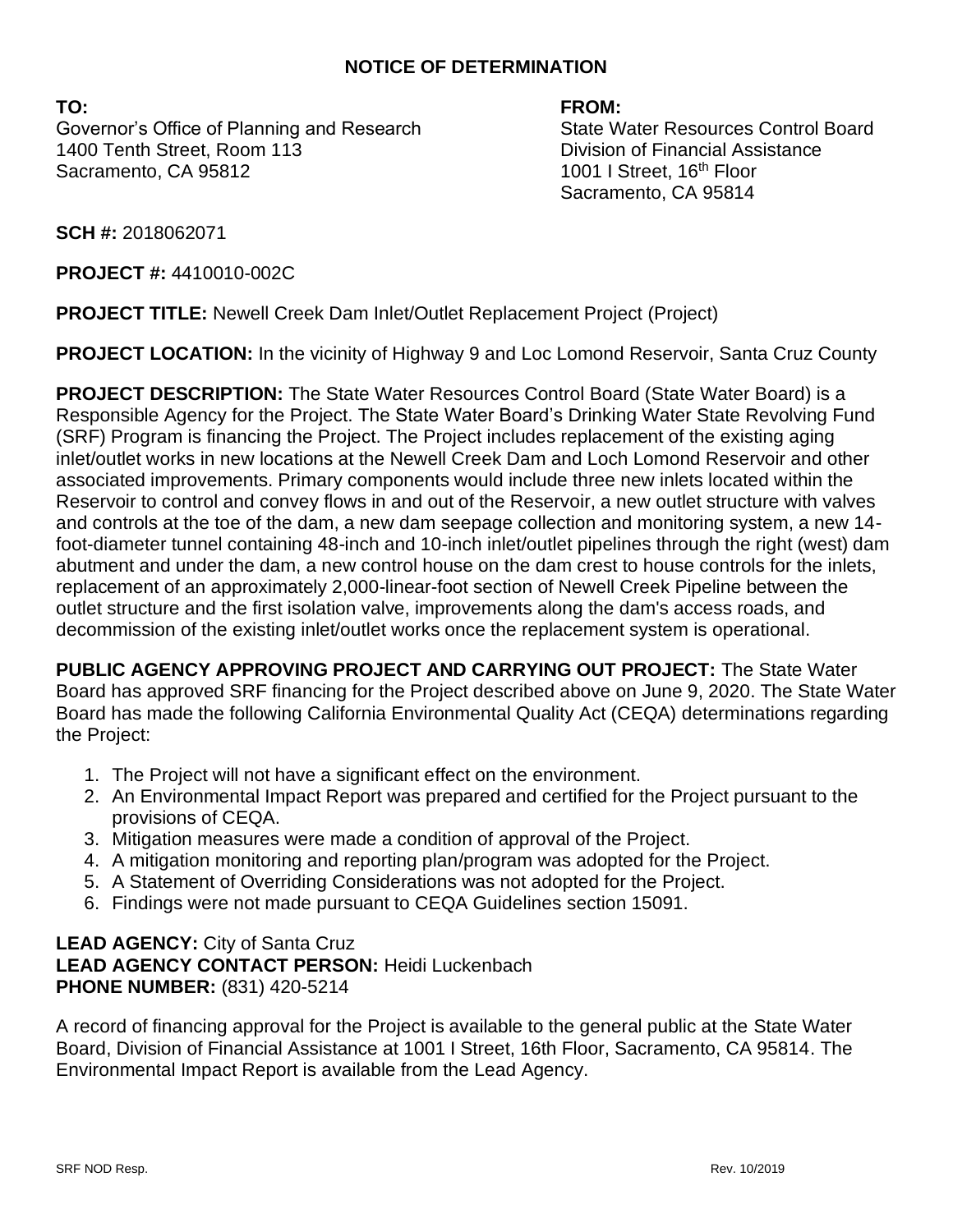### **NOTICE OF DETERMINATION**

**TO: FROM:** Governor's Office of Planning and Research State Water Resources Control Board 1400 Tenth Street, Room 113 Division of Financial Assistance Sacramento, CA 95812 1001 I Street, 16<sup>th</sup> Floor

Sacramento, CA 95814

**SCH #:** 2018062071

**PROJECT #:** 4410010-002C

**PROJECT TITLE:** Newell Creek Dam Inlet/Outlet Replacement Project (Project)

**PROJECT LOCATION:** In the vicinity of Highway 9 and Loc Lomond Reservoir, Santa Cruz County

**PROJECT DESCRIPTION:** The State Water Resources Control Board (State Water Board) is a Responsible Agency for the Project. The State Water Board's Drinking Water State Revolving Fund (SRF) Program is financing the Project. The Project includes replacement of the existing aging inlet/outlet works in new locations at the Newell Creek Dam and Loch Lomond Reservoir and other associated improvements. Primary components would include three new inlets located within the Reservoir to control and convey flows in and out of the Reservoir, a new outlet structure with valves and controls at the toe of the dam, a new dam seepage collection and monitoring system, a new 14 foot-diameter tunnel containing 48-inch and 10-inch inlet/outlet pipelines through the right (west) dam abutment and under the dam, a new control house on the dam crest to house controls for the inlets, replacement of an approximately 2,000-linear-foot section of Newell Creek Pipeline between the outlet structure and the first isolation valve, improvements along the dam's access roads, and decommission of the existing inlet/outlet works once the replacement system is operational.

**PUBLIC AGENCY APPROVING PROJECT AND CARRYING OUT PROJECT:** The State Water Board has approved SRF financing for the Project described above on June 9, 2020. The State Water Board has made the following California Environmental Quality Act (CEQA) determinations regarding the Project:

- 1. The Project will not have a significant effect on the environment.
- 2. An Environmental Impact Report was prepared and certified for the Project pursuant to the provisions of CEQA.
- 3. Mitigation measures were made a condition of approval of the Project.
- 4. A mitigation monitoring and reporting plan/program was adopted for the Project.
- 5. A Statement of Overriding Considerations was not adopted for the Project.
- 6. Findings were not made pursuant to CEQA Guidelines section 15091.

### **LEAD AGENCY:** City of Santa Cruz **LEAD AGENCY CONTACT PERSON:** Heidi Luckenbach **PHONE NUMBER:** (831) 420-5214

A record of financing approval for the Project is available to the general public at the State Water Board, Division of Financial Assistance at 1001 I Street, 16th Floor, Sacramento, CA 95814. The Environmental Impact Report is available from the Lead Agency.